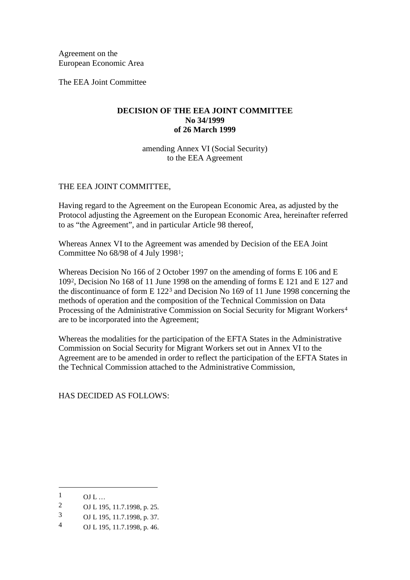Agreement on the European Economic Area

The EEA Joint Committee

# **DECISION OF THE EEA JOINT COMMITTEE No 34/1999 of 26 March 1999**

amending Annex VI (Social Security) to the EEA Agreement

## THE EEA JOINT COMMITTEE,

Having regard to the Agreement on the European Economic Area, as adjusted by the Protocol adjusting the Agreement on the European Economic Area, hereinafter referred to as "the Agreement", and in particular Article 98 thereof,

Whereas Annex VI to the Agreement was amended by Decision of the EEA Joint Committee No 68/98 of 4 July 1998[1](#page-0-0);

Whereas Decision No 166 of 2 October 1997 on the amending of forms E 106 and E 109[2,](#page-0-1) Decision No 168 of 11 June 1998 on the amending of forms E 121 and E 127 and the discontinuance of form E 122[3](#page-0-2) and Decision No 169 of 11 June 1998 concerning the methods of operation and the composition of the Technical Commission on Data Processing of the Administrative Commission on Social Security for Migrant Workers[4](#page-0-3) are to be incorporated into the Agreement;

Whereas the modalities for the participation of the EFTA States in the Administrative Commission on Social Security for Migrant Workers set out in Annex VI to the Agreement are to be amended in order to reflect the participation of the EFTA States in the Technical Commission attached to the Administrative Commission,

HAS DECIDED AS FOLLOWS:

-

<span id="page-0-0"></span> $\frac{1}{2}$  OJ L ...

<span id="page-0-1"></span><sup>2</sup> OJ L 195, 11.7.1998, p. 25.

<span id="page-0-2"></span><sup>3</sup> OJ L 195, 11.7.1998, p. 37.<br>4 OJ L 195, 11.7.1998, p. 46

<span id="page-0-3"></span>OJ L 195, 11.7.1998, p. 46.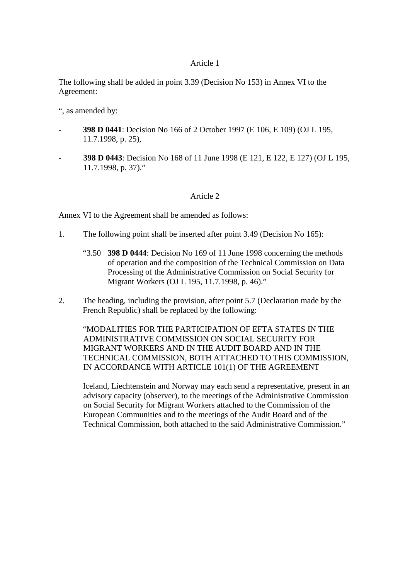# Article 1

The following shall be added in point 3.39 (Decision No 153) in Annex VI to the Agreement:

", as amended by:

- **398 D 0441**: Decision No 166 of 2 October 1997 (E 106, E 109) (OJ L 195, 11.7.1998, p. 25),
- **398 D 0443**: Decision No 168 of 11 June 1998 (E 121, E 122, E 127) (OJ L 195, 11.7.1998, p. 37)."

## Article 2

Annex VI to the Agreement shall be amended as follows:

- 1. The following point shall be inserted after point 3.49 (Decision No 165):
	- "3.50 **398 D 0444**: Decision No 169 of 11 June 1998 concerning the methods of operation and the composition of the Technical Commission on Data Processing of the Administrative Commission on Social Security for Migrant Workers (OJ L 195, 11.7.1998, p. 46)."
- 2. The heading, including the provision, after point 5.7 (Declaration made by the French Republic) shall be replaced by the following:

"MODALITIES FOR THE PARTICIPATION OF EFTA STATES IN THE ADMINISTRATIVE COMMISSION ON SOCIAL SECURITY FOR MIGRANT WORKERS AND IN THE AUDIT BOARD AND IN THE TECHNICAL COMMISSION, BOTH ATTACHED TO THIS COMMISSION, IN ACCORDANCE WITH ARTICLE 101(1) OF THE AGREEMENT

Iceland, Liechtenstein and Norway may each send a representative, present in an advisory capacity (observer), to the meetings of the Administrative Commission on Social Security for Migrant Workers attached to the Commission of the European Communities and to the meetings of the Audit Board and of the Technical Commission, both attached to the said Administrative Commission."